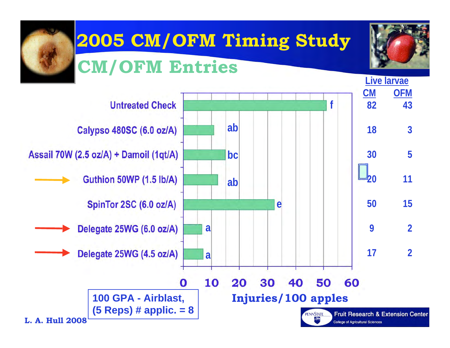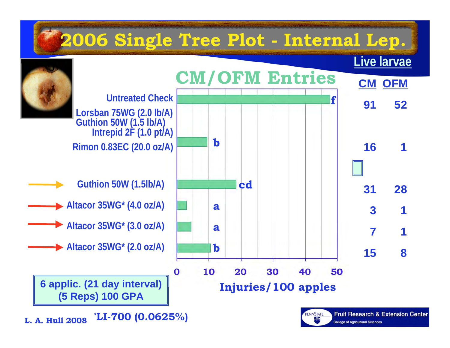

L.A. Hull-2005 **L. A. Hull 2008 \*LI-700 (0.0625%)**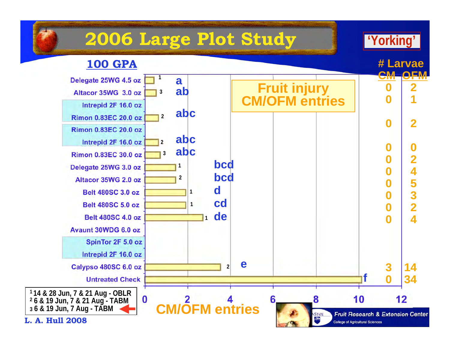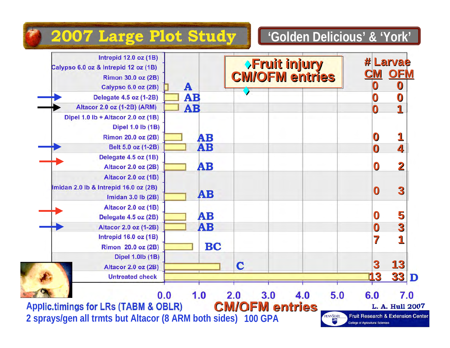#### **'Golden Delicious' & 'York'**

### **2007 Large Plot Study**

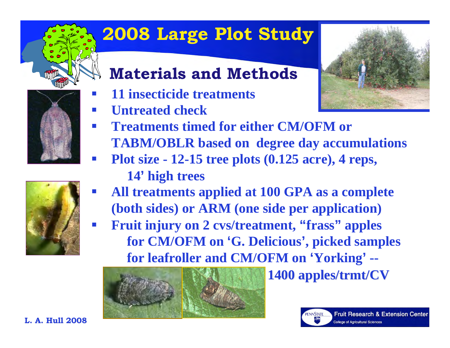

# **2008 Large Plot Study**

## **Materials and Methods**

- $\mathbb{R}^n$ **11 insecticide treatments**
- $\mathbb{R}^n$ **Untreated check**



- $\mathbb{R}^n$  **Treatments timed for either CM/OFM or TABM/OBLR based on degree day accumulations**
- p. **Plot size - 12-15 tree plots (0.125 acre), 4 reps,** 
	- **14' high trees**
- p. **All treatments applied at 100 GPA as a complete (both sides) or ARM (one side per application)**
- $\mathcal{L}^{\mathcal{L}}$  $\blacksquare$  Fruit injury on 2 cvs/treatment, "frass" apples **for CM/OFM on 'G. Delicious', picked samples for leafroller and CM/OFM on 'Yorking' --**



**1400 apples/trmt/CV apples/trmt/CV**



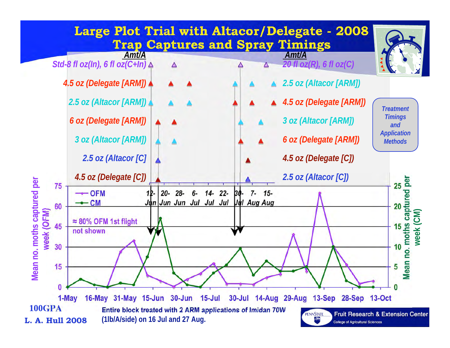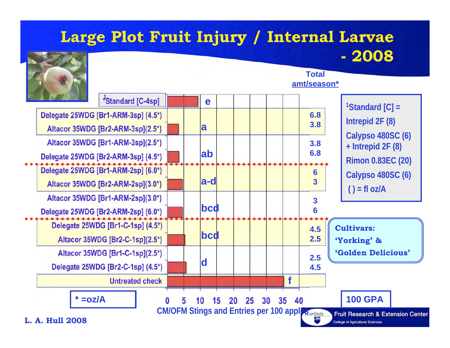#### **Large Plot Fruit Injury / Internal Larvae - 2008**



#### **Total amt/season\***